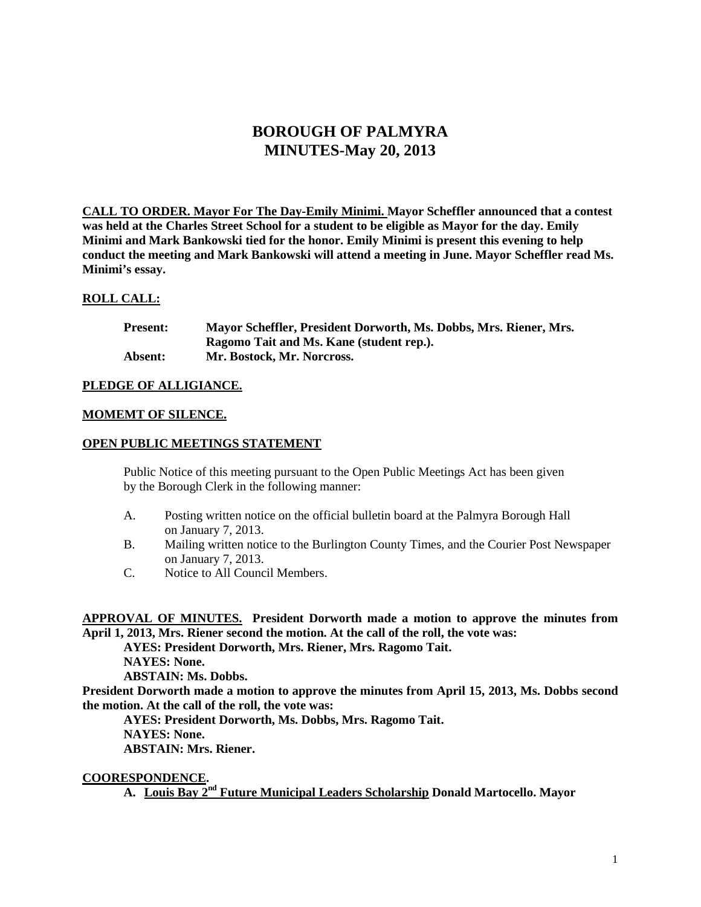# **BOROUGH OF PALMYRA MINUTES-May 20, 2013**

**CALL TO ORDER. Mayor For The Day-Emily Minimi. Mayor Scheffler announced that a contest was held at the Charles Street School for a student to be eligible as Mayor for the day. Emily Minimi and Mark Bankowski tied for the honor. Emily Minimi is present this evening to help conduct the meeting and Mark Bankowski will attend a meeting in June. Mayor Scheffler read Ms. Minimi's essay.** 

# **ROLL CALL:**

| <b>Present:</b> | Mayor Scheffler, President Dorworth, Ms. Dobbs, Mrs. Riener, Mrs. |
|-----------------|-------------------------------------------------------------------|
|                 | Ragomo Tait and Ms. Kane (student rep.).                          |
| Absent:         | Mr. Bostock, Mr. Norcross.                                        |

## **PLEDGE OF ALLIGIANCE.**

## **MOMEMT OF SILENCE.**

## **OPEN PUBLIC MEETINGS STATEMENT**

Public Notice of this meeting pursuant to the Open Public Meetings Act has been given by the Borough Clerk in the following manner:

- A. Posting written notice on the official bulletin board at the Palmyra Borough Hall on January 7, 2013.
- B. Mailing written notice to the Burlington County Times, and the Courier Post Newspaper on January 7, 2013.
- C. Notice to All Council Members.

**APPROVAL OF MINUTES. President Dorworth made a motion to approve the minutes from April 1, 2013, Mrs. Riener second the motion. At the call of the roll, the vote was:**

**AYES: President Dorworth, Mrs. Riener, Mrs. Ragomo Tait. NAYES: None. ABSTAIN: Ms. Dobbs.**

**President Dorworth made a motion to approve the minutes from April 15, 2013, Ms. Dobbs second the motion. At the call of the roll, the vote was:**

**AYES: President Dorworth, Ms. Dobbs, Mrs. Ragomo Tait. NAYES: None. ABSTAIN: Mrs. Riener.** 

**COORESPONDENCE.** 

**A. Louis Bay 2nd Future Municipal Leaders Scholarship Donald Martocello. Mayor**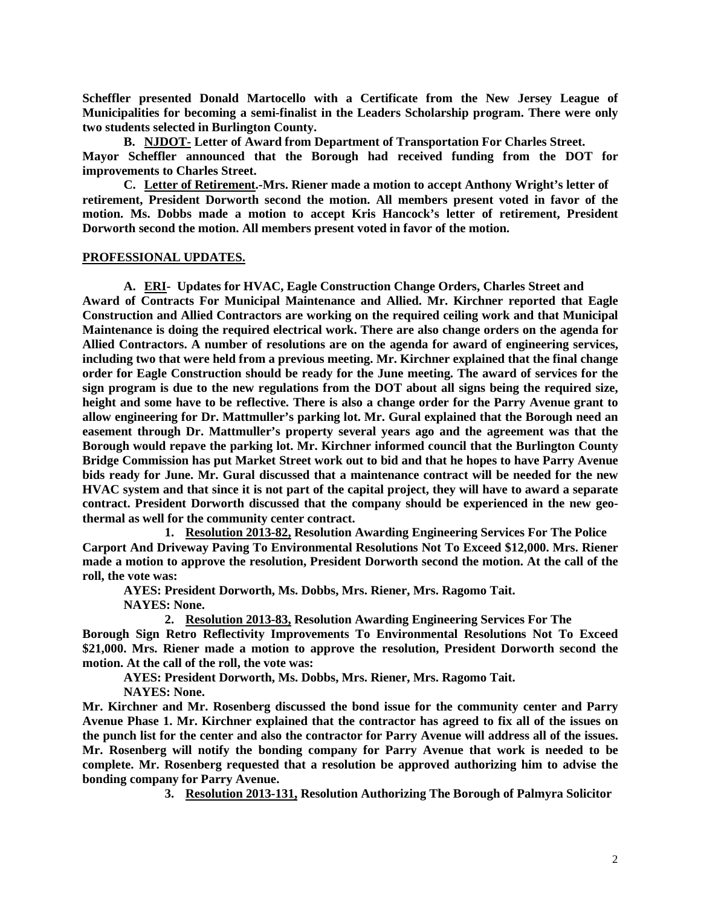**Scheffler presented Donald Martocello with a Certificate from the New Jersey League of Municipalities for becoming a semi-finalist in the Leaders Scholarship program. There were only two students selected in Burlington County.** 

**B. NJDOT- Letter of Award from Department of Transportation For Charles Street. Mayor Scheffler announced that the Borough had received funding from the DOT for improvements to Charles Street.**

**C. Letter of Retirement.-Mrs. Riener made a motion to accept Anthony Wright's letter of retirement, President Dorworth second the motion. All members present voted in favor of the motion. Ms. Dobbs made a motion to accept Kris Hancock's letter of retirement, President Dorworth second the motion. All members present voted in favor of the motion.** 

## **PROFESSIONAL UPDATES.**

**A. ERI- Updates for HVAC, Eagle Construction Change Orders, Charles Street and Award of Contracts For Municipal Maintenance and Allied. Mr. Kirchner reported that Eagle Construction and Allied Contractors are working on the required ceiling work and that Municipal Maintenance is doing the required electrical work. There are also change orders on the agenda for Allied Contractors. A number of resolutions are on the agenda for award of engineering services, including two that were held from a previous meeting. Mr. Kirchner explained that the final change order for Eagle Construction should be ready for the June meeting. The award of services for the sign program is due to the new regulations from the DOT about all signs being the required size, height and some have to be reflective. There is also a change order for the Parry Avenue grant to allow engineering for Dr. Mattmuller's parking lot. Mr. Gural explained that the Borough need an easement through Dr. Mattmuller's property several years ago and the agreement was that the Borough would repave the parking lot. Mr. Kirchner informed council that the Burlington County Bridge Commission has put Market Street work out to bid and that he hopes to have Parry Avenue bids ready for June. Mr. Gural discussed that a maintenance contract will be needed for the new HVAC system and that since it is not part of the capital project, they will have to award a separate contract. President Dorworth discussed that the company should be experienced in the new geothermal as well for the community center contract.** 

**1. Resolution 2013-82, Resolution Awarding Engineering Services For The Police Carport And Driveway Paving To Environmental Resolutions Not To Exceed \$12,000. Mrs. Riener made a motion to approve the resolution, President Dorworth second the motion. At the call of the roll, the vote was:**

**AYES: President Dorworth, Ms. Dobbs, Mrs. Riener, Mrs. Ragomo Tait. NAYES: None.**

**2. Resolution 2013-83, Resolution Awarding Engineering Services For The**

**Borough Sign Retro Reflectivity Improvements To Environmental Resolutions Not To Exceed \$21,000. Mrs. Riener made a motion to approve the resolution, President Dorworth second the motion. At the call of the roll, the vote was:**

**AYES: President Dorworth, Ms. Dobbs, Mrs. Riener, Mrs. Ragomo Tait. NAYES: None.**

**Mr. Kirchner and Mr. Rosenberg discussed the bond issue for the community center and Parry Avenue Phase 1. Mr. Kirchner explained that the contractor has agreed to fix all of the issues on the punch list for the center and also the contractor for Parry Avenue will address all of the issues. Mr. Rosenberg will notify the bonding company for Parry Avenue that work is needed to be complete. Mr. Rosenberg requested that a resolution be approved authorizing him to advise the bonding company for Parry Avenue.** 

**3. Resolution 2013-131, Resolution Authorizing The Borough of Palmyra Solicitor**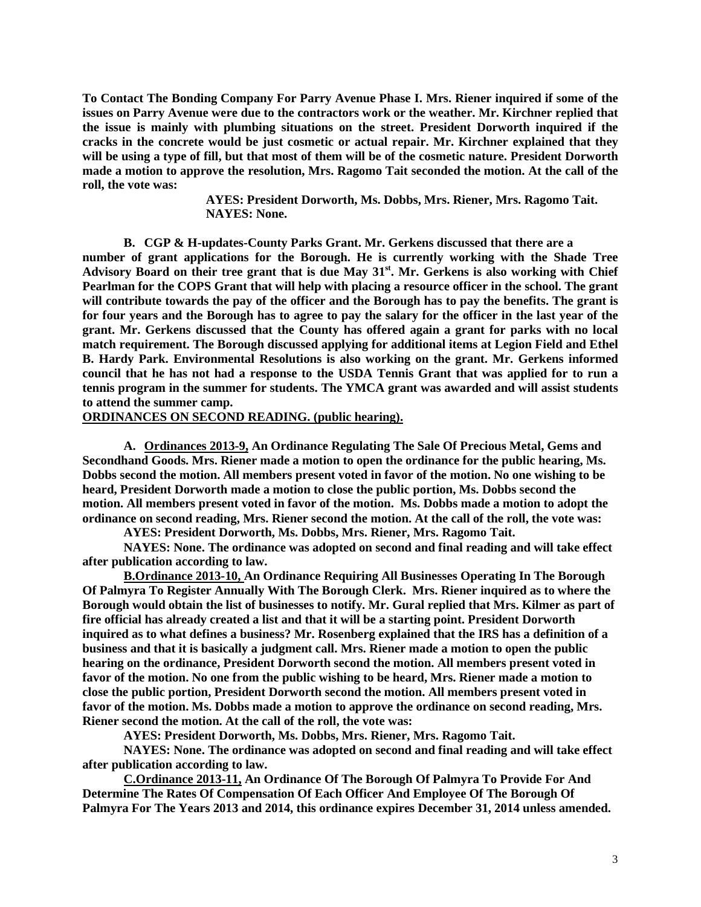**To Contact The Bonding Company For Parry Avenue Phase I. Mrs. Riener inquired if some of the issues on Parry Avenue were due to the contractors work or the weather. Mr. Kirchner replied that the issue is mainly with plumbing situations on the street. President Dorworth inquired if the cracks in the concrete would be just cosmetic or actual repair. Mr. Kirchner explained that they will be using a type of fill, but that most of them will be of the cosmetic nature. President Dorworth made a motion to approve the resolution, Mrs. Ragomo Tait seconded the motion. At the call of the roll, the vote was:**

> **AYES: President Dorworth, Ms. Dobbs, Mrs. Riener, Mrs. Ragomo Tait. NAYES: None.**

**B. CGP & H-updates-County Parks Grant. Mr. Gerkens discussed that there are a**

**number of grant applications for the Borough. He is currently working with the Shade Tree Advisory Board on their tree grant that is due May 31st. Mr. Gerkens is also working with Chief Pearlman for the COPS Grant that will help with placing a resource officer in the school. The grant will contribute towards the pay of the officer and the Borough has to pay the benefits. The grant is for four years and the Borough has to agree to pay the salary for the officer in the last year of the grant. Mr. Gerkens discussed that the County has offered again a grant for parks with no local match requirement. The Borough discussed applying for additional items at Legion Field and Ethel B. Hardy Park. Environmental Resolutions is also working on the grant. Mr. Gerkens informed council that he has not had a response to the USDA Tennis Grant that was applied for to run a tennis program in the summer for students. The YMCA grant was awarded and will assist students to attend the summer camp.** 

#### **ORDINANCES ON SECOND READING. (public hearing).**

**A. Ordinances 2013-9, An Ordinance Regulating The Sale Of Precious Metal, Gems and Secondhand Goods. Mrs. Riener made a motion to open the ordinance for the public hearing, Ms. Dobbs second the motion. All members present voted in favor of the motion. No one wishing to be heard, President Dorworth made a motion to close the public portion, Ms. Dobbs second the motion. All members present voted in favor of the motion. Ms. Dobbs made a motion to adopt the ordinance on second reading, Mrs. Riener second the motion. At the call of the roll, the vote was:**

**AYES: President Dorworth, Ms. Dobbs, Mrs. Riener, Mrs. Ragomo Tait.**

**NAYES: None. The ordinance was adopted on second and final reading and will take effect after publication according to law.** 

**B.Ordinance 2013-10, An Ordinance Requiring All Businesses Operating In The Borough Of Palmyra To Register Annually With The Borough Clerk. Mrs. Riener inquired as to where the Borough would obtain the list of businesses to notify. Mr. Gural replied that Mrs. Kilmer as part of fire official has already created a list and that it will be a starting point. President Dorworth inquired as to what defines a business? Mr. Rosenberg explained that the IRS has a definition of a business and that it is basically a judgment call. Mrs. Riener made a motion to open the public hearing on the ordinance, President Dorworth second the motion. All members present voted in favor of the motion. No one from the public wishing to be heard, Mrs. Riener made a motion to close the public portion, President Dorworth second the motion. All members present voted in favor of the motion. Ms. Dobbs made a motion to approve the ordinance on second reading, Mrs. Riener second the motion. At the call of the roll, the vote was:**

**AYES: President Dorworth, Ms. Dobbs, Mrs. Riener, Mrs. Ragomo Tait.**

**NAYES: None. The ordinance was adopted on second and final reading and will take effect after publication according to law.**

**C.Ordinance 2013-11, An Ordinance Of The Borough Of Palmyra To Provide For And Determine The Rates Of Compensation Of Each Officer And Employee Of The Borough Of Palmyra For The Years 2013 and 2014, this ordinance expires December 31, 2014 unless amended.**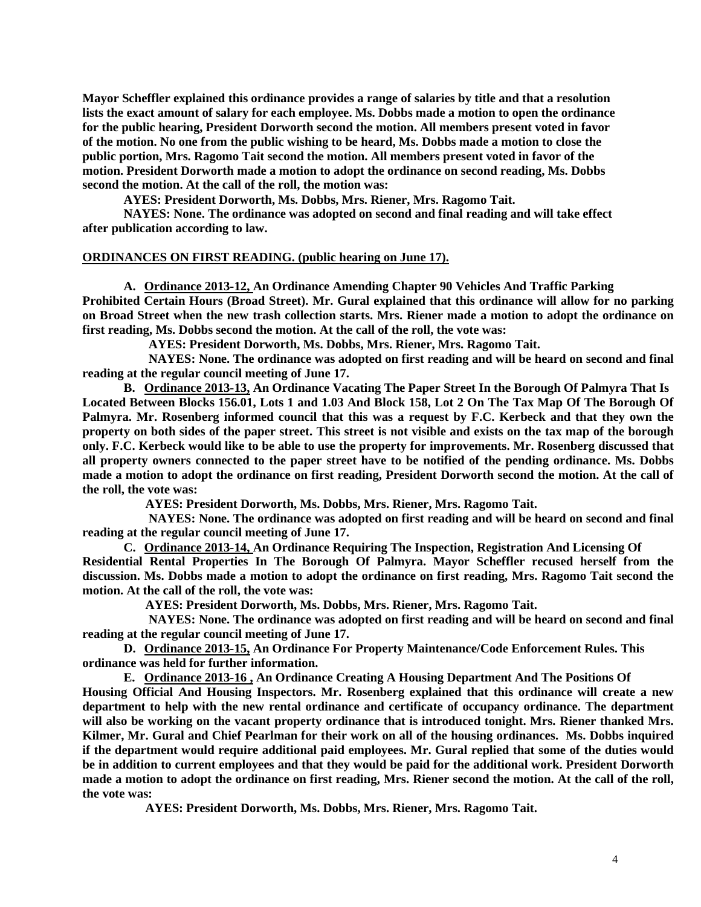**Mayor Scheffler explained this ordinance provides a range of salaries by title and that a resolution lists the exact amount of salary for each employee. Ms. Dobbs made a motion to open the ordinance for the public hearing, President Dorworth second the motion. All members present voted in favor of the motion. No one from the public wishing to be heard, Ms. Dobbs made a motion to close the public portion, Mrs. Ragomo Tait second the motion. All members present voted in favor of the motion. President Dorworth made a motion to adopt the ordinance on second reading, Ms. Dobbs second the motion. At the call of the roll, the motion was:**

**AYES: President Dorworth, Ms. Dobbs, Mrs. Riener, Mrs. Ragomo Tait.**

**NAYES: None. The ordinance was adopted on second and final reading and will take effect after publication according to law.** 

## **ORDINANCES ON FIRST READING. (public hearing on June 17).**

**A. Ordinance 2013-12, An Ordinance Amending Chapter 90 Vehicles And Traffic Parking Prohibited Certain Hours (Broad Street). Mr. Gural explained that this ordinance will allow for no parking on Broad Street when the new trash collection starts. Mrs. Riener made a motion to adopt the ordinance on first reading, Ms. Dobbs second the motion. At the call of the roll, the vote was:**

 **AYES: President Dorworth, Ms. Dobbs, Mrs. Riener, Mrs. Ragomo Tait.**

 **NAYES: None. The ordinance was adopted on first reading and will be heard on second and final reading at the regular council meeting of June 17.** 

**B. Ordinance 2013-13, An Ordinance Vacating The Paper Street In the Borough Of Palmyra That Is Located Between Blocks 156.01, Lots 1 and 1.03 And Block 158, Lot 2 On The Tax Map Of The Borough Of Palmyra. Mr. Rosenberg informed council that this was a request by F.C. Kerbeck and that they own the property on both sides of the paper street. This street is not visible and exists on the tax map of the borough only. F.C. Kerbeck would like to be able to use the property for improvements. Mr. Rosenberg discussed that all property owners connected to the paper street have to be notified of the pending ordinance. Ms. Dobbs made a motion to adopt the ordinance on first reading, President Dorworth second the motion. At the call of the roll, the vote was:**

 **AYES: President Dorworth, Ms. Dobbs, Mrs. Riener, Mrs. Ragomo Tait.**

 **NAYES: None. The ordinance was adopted on first reading and will be heard on second and final reading at the regular council meeting of June 17.** 

**C. Ordinance 2013-14, An Ordinance Requiring The Inspection, Registration And Licensing Of Residential Rental Properties In The Borough Of Palmyra. Mayor Scheffler recused herself from the discussion. Ms. Dobbs made a motion to adopt the ordinance on first reading, Mrs. Ragomo Tait second the motion. At the call of the roll, the vote was:**

 **AYES: President Dorworth, Ms. Dobbs, Mrs. Riener, Mrs. Ragomo Tait.**

 **NAYES: None. The ordinance was adopted on first reading and will be heard on second and final reading at the regular council meeting of June 17.** 

**D. Ordinance 2013-15, An Ordinance For Property Maintenance/Code Enforcement Rules. This ordinance was held for further information.**

**E. Ordinance 2013-16 , An Ordinance Creating A Housing Department And The Positions Of**

**Housing Official And Housing Inspectors. Mr. Rosenberg explained that this ordinance will create a new department to help with the new rental ordinance and certificate of occupancy ordinance. The department will also be working on the vacant property ordinance that is introduced tonight. Mrs. Riener thanked Mrs. Kilmer, Mr. Gural and Chief Pearlman for their work on all of the housing ordinances. Ms. Dobbs inquired if the department would require additional paid employees. Mr. Gural replied that some of the duties would be in addition to current employees and that they would be paid for the additional work. President Dorworth made a motion to adopt the ordinance on first reading, Mrs. Riener second the motion. At the call of the roll, the vote was:**

 **AYES: President Dorworth, Ms. Dobbs, Mrs. Riener, Mrs. Ragomo Tait.**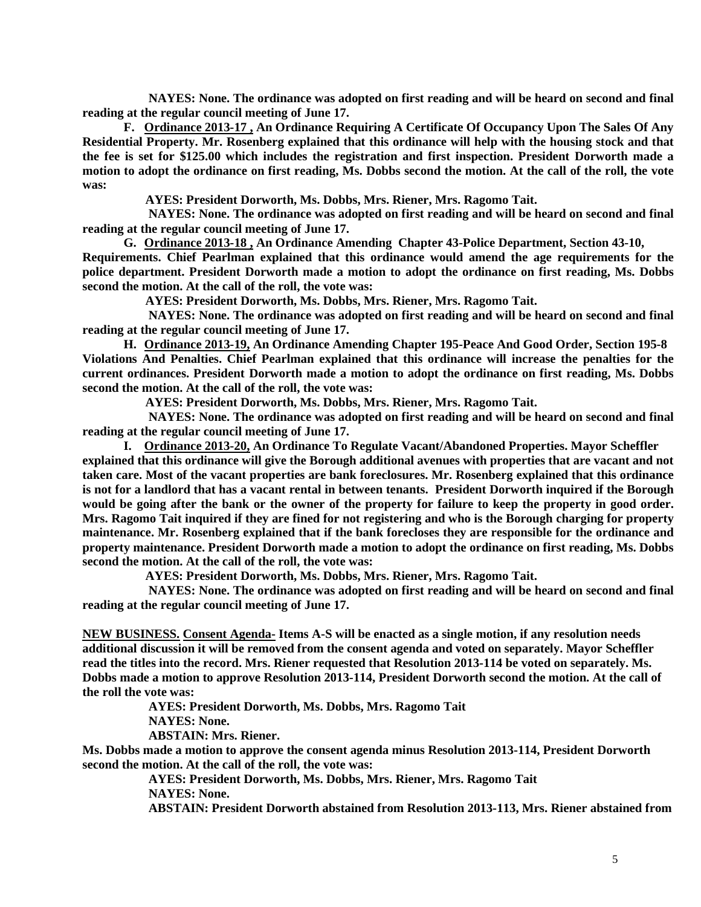**NAYES: None. The ordinance was adopted on first reading and will be heard on second and final reading at the regular council meeting of June 17.** 

**F. Ordinance 2013-17 , An Ordinance Requiring A Certificate Of Occupancy Upon The Sales Of Any Residential Property. Mr. Rosenberg explained that this ordinance will help with the housing stock and that the fee is set for \$125.00 which includes the registration and first inspection. President Dorworth made a motion to adopt the ordinance on first reading, Ms. Dobbs second the motion. At the call of the roll, the vote was:**

 **AYES: President Dorworth, Ms. Dobbs, Mrs. Riener, Mrs. Ragomo Tait.**

 **NAYES: None. The ordinance was adopted on first reading and will be heard on second and final reading at the regular council meeting of June 17.** 

**G. Ordinance 2013-18 , An Ordinance Amending Chapter 43-Police Department, Section 43-10,**

**Requirements. Chief Pearlman explained that this ordinance would amend the age requirements for the police department. President Dorworth made a motion to adopt the ordinance on first reading, Ms. Dobbs second the motion. At the call of the roll, the vote was:**

 **AYES: President Dorworth, Ms. Dobbs, Mrs. Riener, Mrs. Ragomo Tait.**

 **NAYES: None. The ordinance was adopted on first reading and will be heard on second and final reading at the regular council meeting of June 17.** 

**H. Ordinance 2013-19, An Ordinance Amending Chapter 195-Peace And Good Order, Section 195-8 Violations And Penalties. Chief Pearlman explained that this ordinance will increase the penalties for the current ordinances. President Dorworth made a motion to adopt the ordinance on first reading, Ms. Dobbs second the motion. At the call of the roll, the vote was:**

 **AYES: President Dorworth, Ms. Dobbs, Mrs. Riener, Mrs. Ragomo Tait.**

 **NAYES: None. The ordinance was adopted on first reading and will be heard on second and final reading at the regular council meeting of June 17.** 

**I. Ordinance 2013-20, An Ordinance To Regulate Vacant/Abandoned Properties. Mayor Scheffler explained that this ordinance will give the Borough additional avenues with properties that are vacant and not taken care. Most of the vacant properties are bank foreclosures. Mr. Rosenberg explained that this ordinance is not for a landlord that has a vacant rental in between tenants. President Dorworth inquired if the Borough would be going after the bank or the owner of the property for failure to keep the property in good order. Mrs. Ragomo Tait inquired if they are fined for not registering and who is the Borough charging for property maintenance. Mr. Rosenberg explained that if the bank forecloses they are responsible for the ordinance and property maintenance. President Dorworth made a motion to adopt the ordinance on first reading, Ms. Dobbs second the motion. At the call of the roll, the vote was:**

 **AYES: President Dorworth, Ms. Dobbs, Mrs. Riener, Mrs. Ragomo Tait.**

 **NAYES: None. The ordinance was adopted on first reading and will be heard on second and final reading at the regular council meeting of June 17.** 

**NEW BUSINESS. Consent Agenda- Items A-S will be enacted as a single motion, if any resolution needs additional discussion it will be removed from the consent agenda and voted on separately. Mayor Scheffler read the titles into the record. Mrs. Riener requested that Resolution 2013-114 be voted on separately. Ms. Dobbs made a motion to approve Resolution 2013-114, President Dorworth second the motion. At the call of the roll the vote was:**

 **AYES: President Dorworth, Ms. Dobbs, Mrs. Ragomo Tait**

 **NAYES: None.**

 **ABSTAIN: Mrs. Riener.**

**Ms. Dobbs made a motion to approve the consent agenda minus Resolution 2013-114, President Dorworth second the motion. At the call of the roll, the vote was:**

> **AYES: President Dorworth, Ms. Dobbs, Mrs. Riener, Mrs. Ragomo Tait NAYES: None.**

 **ABSTAIN: President Dorworth abstained from Resolution 2013-113, Mrs. Riener abstained from**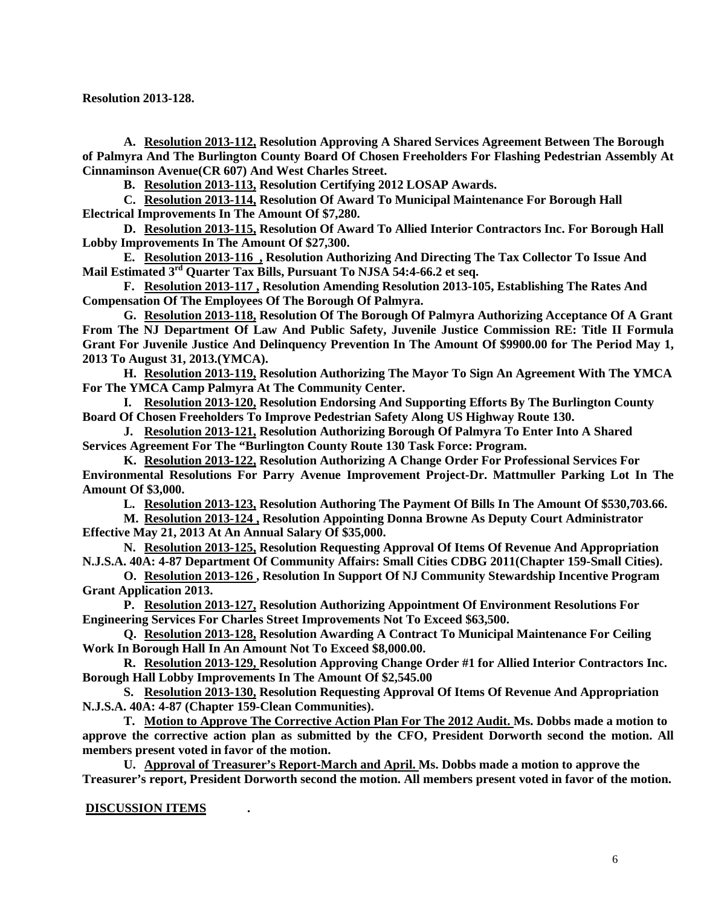**Resolution 2013-128.** 

**A. Resolution 2013-112, Resolution Approving A Shared Services Agreement Between The Borough of Palmyra And The Burlington County Board Of Chosen Freeholders For Flashing Pedestrian Assembly At Cinnaminson Avenue(CR 607) And West Charles Street.**

**B. Resolution 2013-113, Resolution Certifying 2012 LOSAP Awards.**

**C. Resolution 2013-114, Resolution Of Award To Municipal Maintenance For Borough Hall Electrical Improvements In The Amount Of \$7,280.** 

**D. Resolution 2013-115, Resolution Of Award To Allied Interior Contractors Inc. For Borough Hall Lobby Improvements In The Amount Of \$27,300.** 

**E. Resolution 2013-116 , Resolution Authorizing And Directing The Tax Collector To Issue And Mail Estimated 3rd Quarter Tax Bills, Pursuant To NJSA 54:4-66.2 et seq.** 

**F. Resolution 2013-117 , Resolution Amending Resolution 2013-105, Establishing The Rates And Compensation Of The Employees Of The Borough Of Palmyra.** 

**G. Resolution 2013-118, Resolution Of The Borough Of Palmyra Authorizing Acceptance Of A Grant From The NJ Department Of Law And Public Safety, Juvenile Justice Commission RE: Title II Formula Grant For Juvenile Justice And Delinquency Prevention In The Amount Of \$9900.00 for The Period May 1, 2013 To August 31, 2013.(YMCA).**

**H. Resolution 2013-119, Resolution Authorizing The Mayor To Sign An Agreement With The YMCA For The YMCA Camp Palmyra At The Community Center.**

**I. Resolution 2013-120, Resolution Endorsing And Supporting Efforts By The Burlington County Board Of Chosen Freeholders To Improve Pedestrian Safety Along US Highway Route 130.** 

**J. Resolution 2013-121, Resolution Authorizing Borough Of Palmyra To Enter Into A Shared Services Agreement For The "Burlington County Route 130 Task Force: Program.**

**K. Resolution 2013-122, Resolution Authorizing A Change Order For Professional Services For Environmental Resolutions For Parry Avenue Improvement Project-Dr. Mattmuller Parking Lot In The Amount Of \$3,000.**

**L. Resolution 2013-123, Resolution Authoring The Payment Of Bills In The Amount Of \$530,703.66.**

**M. Resolution 2013-124 , Resolution Appointing Donna Browne As Deputy Court Administrator Effective May 21, 2013 At An Annual Salary Of \$35,000.**

**N. Resolution 2013-125, Resolution Requesting Approval Of Items Of Revenue And Appropriation N.J.S.A. 40A: 4-87 Department Of Community Affairs: Small Cities CDBG 2011(Chapter 159-Small Cities).** 

**O. Resolution 2013-126 , Resolution In Support Of NJ Community Stewardship Incentive Program Grant Application 2013.** 

**P. Resolution 2013-127, Resolution Authorizing Appointment Of Environment Resolutions For Engineering Services For Charles Street Improvements Not To Exceed \$63,500.** 

**Q. Resolution 2013-128, Resolution Awarding A Contract To Municipal Maintenance For Ceiling Work In Borough Hall In An Amount Not To Exceed \$8,000.00.**

**R. Resolution 2013-129, Resolution Approving Change Order #1 for Allied Interior Contractors Inc. Borough Hall Lobby Improvements In The Amount Of \$2,545.00**

**S. Resolution 2013-130, Resolution Requesting Approval Of Items Of Revenue And Appropriation N.J.S.A. 40A: 4-87 (Chapter 159-Clean Communities).**

**T. Motion to Approve The Corrective Action Plan For The 2012 Audit. Ms. Dobbs made a motion to approve the corrective action plan as submitted by the CFO, President Dorworth second the motion. All members present voted in favor of the motion.**

**U. Approval of Treasurer's Report-March and April. Ms. Dobbs made a motion to approve the Treasurer's report, President Dorworth second the motion. All members present voted in favor of the motion.**

## **DISCUSSION ITEMS .**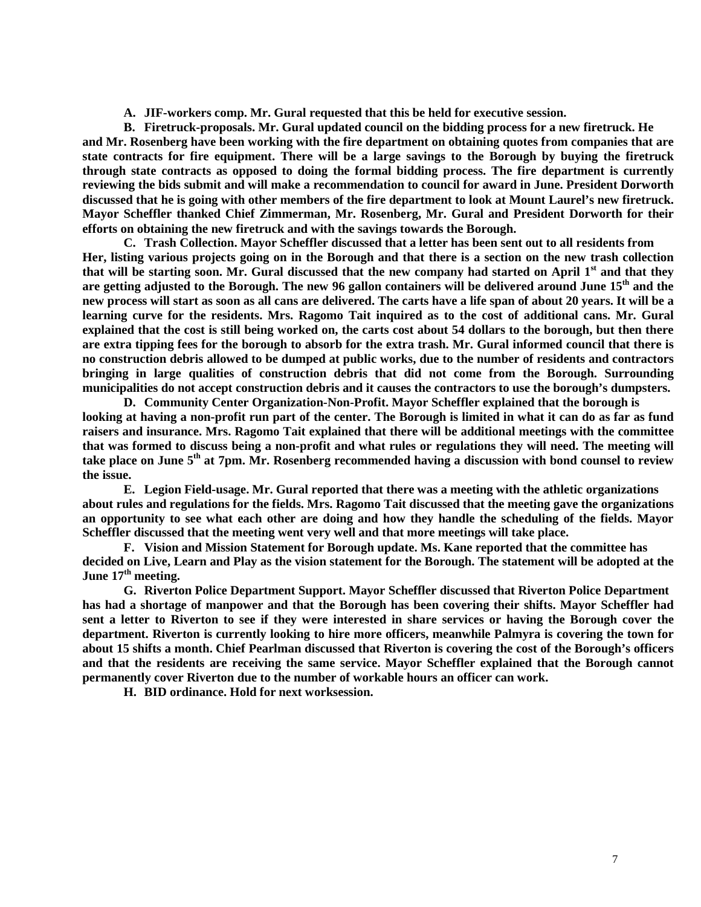**A. JIF-workers comp. Mr. Gural requested that this be held for executive session.**

**B. Firetruck-proposals. Mr. Gural updated council on the bidding process for a new firetruck. He and Mr. Rosenberg have been working with the fire department on obtaining quotes from companies that are state contracts for fire equipment. There will be a large savings to the Borough by buying the firetruck through state contracts as opposed to doing the formal bidding process. The fire department is currently reviewing the bids submit and will make a recommendation to council for award in June. President Dorworth discussed that he is going with other members of the fire department to look at Mount Laurel's new firetruck. Mayor Scheffler thanked Chief Zimmerman, Mr. Rosenberg, Mr. Gural and President Dorworth for their efforts on obtaining the new firetruck and with the savings towards the Borough.** 

**C. Trash Collection. Mayor Scheffler discussed that a letter has been sent out to all residents from Her, listing various projects going on in the Borough and that there is a section on the new trash collection that will be starting soon. Mr. Gural discussed that the new company had started on April 1st and that they are getting adjusted to the Borough. The new 96 gallon containers will be delivered around June 15th and the new process will start as soon as all cans are delivered. The carts have a life span of about 20 years. It will be a learning curve for the residents. Mrs. Ragomo Tait inquired as to the cost of additional cans. Mr. Gural explained that the cost is still being worked on, the carts cost about 54 dollars to the borough, but then there are extra tipping fees for the borough to absorb for the extra trash. Mr. Gural informed council that there is no construction debris allowed to be dumped at public works, due to the number of residents and contractors bringing in large qualities of construction debris that did not come from the Borough. Surrounding municipalities do not accept construction debris and it causes the contractors to use the borough's dumpsters.**

**D. Community Center Organization-Non-Profit. Mayor Scheffler explained that the borough is looking at having a non-profit run part of the center. The Borough is limited in what it can do as far as fund raisers and insurance. Mrs. Ragomo Tait explained that there will be additional meetings with the committee that was formed to discuss being a non-profit and what rules or regulations they will need. The meeting will take place on June 5th at 7pm. Mr. Rosenberg recommended having a discussion with bond counsel to review the issue.** 

**E. Legion Field-usage. Mr. Gural reported that there was a meeting with the athletic organizations about rules and regulations for the fields. Mrs. Ragomo Tait discussed that the meeting gave the organizations an opportunity to see what each other are doing and how they handle the scheduling of the fields. Mayor Scheffler discussed that the meeting went very well and that more meetings will take place.**

**F. Vision and Mission Statement for Borough update. Ms. Kane reported that the committee has decided on Live, Learn and Play as the vision statement for the Borough. The statement will be adopted at the June 17th meeting.** 

**G. Riverton Police Department Support. Mayor Scheffler discussed that Riverton Police Department has had a shortage of manpower and that the Borough has been covering their shifts. Mayor Scheffler had sent a letter to Riverton to see if they were interested in share services or having the Borough cover the department. Riverton is currently looking to hire more officers, meanwhile Palmyra is covering the town for about 15 shifts a month. Chief Pearlman discussed that Riverton is covering the cost of the Borough's officers and that the residents are receiving the same service. Mayor Scheffler explained that the Borough cannot permanently cover Riverton due to the number of workable hours an officer can work.** 

**H. BID ordinance. Hold for next worksession.**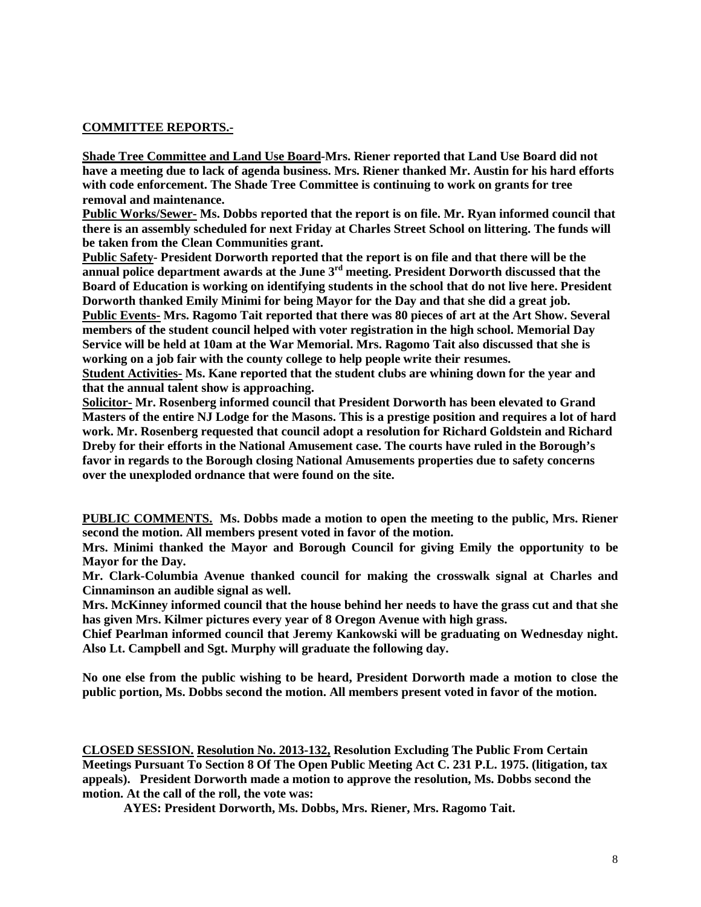# **COMMITTEE REPORTS.-**

**Shade Tree Committee and Land Use Board-Mrs. Riener reported that Land Use Board did not have a meeting due to lack of agenda business. Mrs. Riener thanked Mr. Austin for his hard efforts with code enforcement. The Shade Tree Committee is continuing to work on grants for tree removal and maintenance.** 

**Public Works/Sewer- Ms. Dobbs reported that the report is on file. Mr. Ryan informed council that there is an assembly scheduled for next Friday at Charles Street School on littering. The funds will be taken from the Clean Communities grant.** 

**Public Safety- President Dorworth reported that the report is on file and that there will be the annual police department awards at the June 3rd meeting. President Dorworth discussed that the Board of Education is working on identifying students in the school that do not live here. President Dorworth thanked Emily Minimi for being Mayor for the Day and that she did a great job. Public Events- Mrs. Ragomo Tait reported that there was 80 pieces of art at the Art Show. Several members of the student council helped with voter registration in the high school. Memorial Day Service will be held at 10am at the War Memorial. Mrs. Ragomo Tait also discussed that she is** 

**working on a job fair with the county college to help people write their resumes. Student Activities- Ms. Kane reported that the student clubs are whining down for the year and that the annual talent show is approaching.** 

**Solicitor- Mr. Rosenberg informed council that President Dorworth has been elevated to Grand Masters of the entire NJ Lodge for the Masons. This is a prestige position and requires a lot of hard work. Mr. Rosenberg requested that council adopt a resolution for Richard Goldstein and Richard Dreby for their efforts in the National Amusement case. The courts have ruled in the Borough's favor in regards to the Borough closing National Amusements properties due to safety concerns over the unexploded ordnance that were found on the site.** 

**PUBLIC COMMENTS. Ms. Dobbs made a motion to open the meeting to the public, Mrs. Riener second the motion. All members present voted in favor of the motion.**

**Mrs. Minimi thanked the Mayor and Borough Council for giving Emily the opportunity to be Mayor for the Day.**

**Mr. Clark-Columbia Avenue thanked council for making the crosswalk signal at Charles and Cinnaminson an audible signal as well.** 

**Mrs. McKinney informed council that the house behind her needs to have the grass cut and that she has given Mrs. Kilmer pictures every year of 8 Oregon Avenue with high grass.** 

**Chief Pearlman informed council that Jeremy Kankowski will be graduating on Wednesday night. Also Lt. Campbell and Sgt. Murphy will graduate the following day.** 

**No one else from the public wishing to be heard, President Dorworth made a motion to close the public portion, Ms. Dobbs second the motion. All members present voted in favor of the motion.** 

**CLOSED SESSION. Resolution No. 2013-132, Resolution Excluding The Public From Certain Meetings Pursuant To Section 8 Of The Open Public Meeting Act C. 231 P.L. 1975. (litigation, tax appeals). President Dorworth made a motion to approve the resolution, Ms. Dobbs second the motion. At the call of the roll, the vote was:**

**AYES: President Dorworth, Ms. Dobbs, Mrs. Riener, Mrs. Ragomo Tait.**